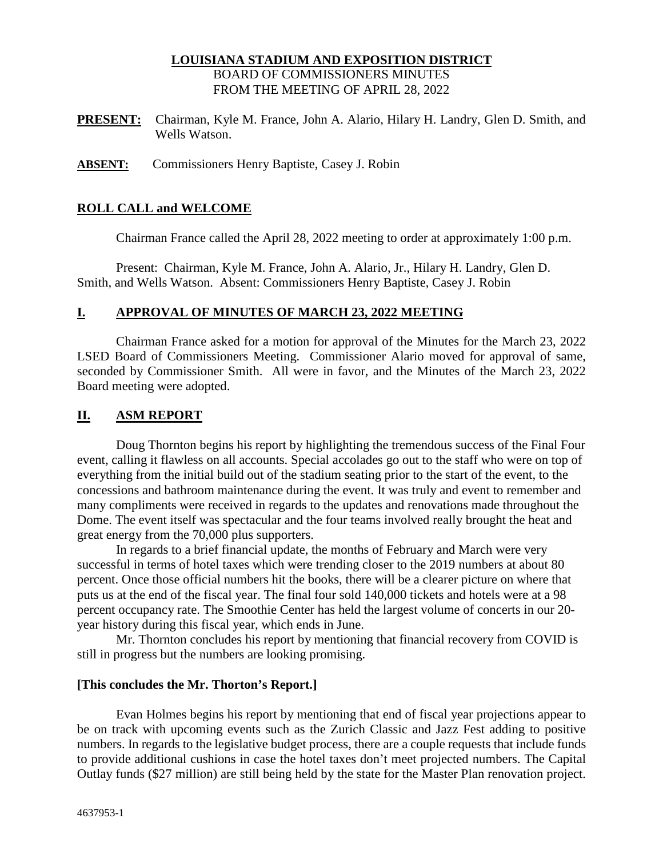### **LOUISIANA STADIUM AND EXPOSITION DISTRICT**  BOARD OF COMMISSIONERS MINUTES FROM THE MEETING OF APRIL 28, 2022

- **PRESENT:** Chairman, Kyle M. France, John A. Alario, Hilary H. Landry, Glen D. Smith, and Wells Watson.
- **ABSENT:** Commissioners Henry Baptiste, Casey J. Robin

### **ROLL CALL and WELCOME**

Chairman France called the April 28, 2022 meeting to order at approximately 1:00 p.m.

Present: Chairman, Kyle M. France, John A. Alario, Jr., Hilary H. Landry, Glen D. Smith, and Wells Watson. Absent: Commissioners Henry Baptiste, Casey J. Robin

#### **I. APPROVAL OF MINUTES OF MARCH 23, 2022 MEETING**

Chairman France asked for a motion for approval of the Minutes for the March 23, 2022 LSED Board of Commissioners Meeting. Commissioner Alario moved for approval of same, seconded by Commissioner Smith. All were in favor, and the Minutes of the March 23, 2022 Board meeting were adopted.

### **II. ASM REPORT**

Doug Thornton begins his report by highlighting the tremendous success of the Final Four event, calling it flawless on all accounts. Special accolades go out to the staff who were on top of everything from the initial build out of the stadium seating prior to the start of the event, to the concessions and bathroom maintenance during the event. It was truly and event to remember and many compliments were received in regards to the updates and renovations made throughout the Dome. The event itself was spectacular and the four teams involved really brought the heat and great energy from the 70,000 plus supporters.

In regards to a brief financial update, the months of February and March were very successful in terms of hotel taxes which were trending closer to the 2019 numbers at about 80 percent. Once those official numbers hit the books, there will be a clearer picture on where that puts us at the end of the fiscal year. The final four sold 140,000 tickets and hotels were at a 98 percent occupancy rate. The Smoothie Center has held the largest volume of concerts in our 20 year history during this fiscal year, which ends in June.

Mr. Thornton concludes his report by mentioning that financial recovery from COVID is still in progress but the numbers are looking promising.

#### **[This concludes the Mr. Thorton's Report.]**

Evan Holmes begins his report by mentioning that end of fiscal year projections appear to be on track with upcoming events such as the Zurich Classic and Jazz Fest adding to positive numbers. In regards to the legislative budget process, there are a couple requests that include funds to provide additional cushions in case the hotel taxes don't meet projected numbers. The Capital Outlay funds (\$27 million) are still being held by the state for the Master Plan renovation project.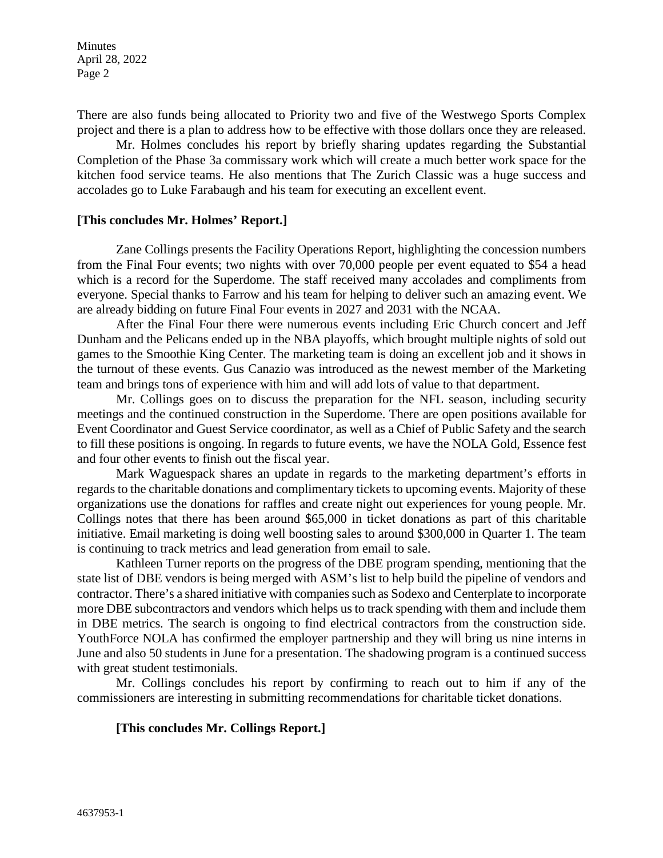There are also funds being allocated to Priority two and five of the Westwego Sports Complex project and there is a plan to address how to be effective with those dollars once they are released.

Mr. Holmes concludes his report by briefly sharing updates regarding the Substantial Completion of the Phase 3a commissary work which will create a much better work space for the kitchen food service teams. He also mentions that The Zurich Classic was a huge success and accolades go to Luke Farabaugh and his team for executing an excellent event.

#### **[This concludes Mr. Holmes' Report.]**

Zane Collings presents the Facility Operations Report, highlighting the concession numbers from the Final Four events; two nights with over 70,000 people per event equated to \$54 a head which is a record for the Superdome. The staff received many accolades and compliments from everyone. Special thanks to Farrow and his team for helping to deliver such an amazing event. We are already bidding on future Final Four events in 2027 and 2031 with the NCAA.

After the Final Four there were numerous events including Eric Church concert and Jeff Dunham and the Pelicans ended up in the NBA playoffs, which brought multiple nights of sold out games to the Smoothie King Center. The marketing team is doing an excellent job and it shows in the turnout of these events. Gus Canazio was introduced as the newest member of the Marketing team and brings tons of experience with him and will add lots of value to that department.

Mr. Collings goes on to discuss the preparation for the NFL season, including security meetings and the continued construction in the Superdome. There are open positions available for Event Coordinator and Guest Service coordinator, as well as a Chief of Public Safety and the search to fill these positions is ongoing. In regards to future events, we have the NOLA Gold, Essence fest and four other events to finish out the fiscal year.

Mark Waguespack shares an update in regards to the marketing department's efforts in regards to the charitable donations and complimentary tickets to upcoming events. Majority of these organizations use the donations for raffles and create night out experiences for young people. Mr. Collings notes that there has been around \$65,000 in ticket donations as part of this charitable initiative. Email marketing is doing well boosting sales to around \$300,000 in Quarter 1. The team is continuing to track metrics and lead generation from email to sale.

Kathleen Turner reports on the progress of the DBE program spending, mentioning that the state list of DBE vendors is being merged with ASM's list to help build the pipeline of vendors and contractor. There's a shared initiative with companies such as Sodexo and Centerplate to incorporate more DBE subcontractors and vendors which helps us to track spending with them and include them in DBE metrics. The search is ongoing to find electrical contractors from the construction side. YouthForce NOLA has confirmed the employer partnership and they will bring us nine interns in June and also 50 students in June for a presentation. The shadowing program is a continued success with great student testimonials.

Mr. Collings concludes his report by confirming to reach out to him if any of the commissioners are interesting in submitting recommendations for charitable ticket donations.

### **[This concludes Mr. Collings Report.]**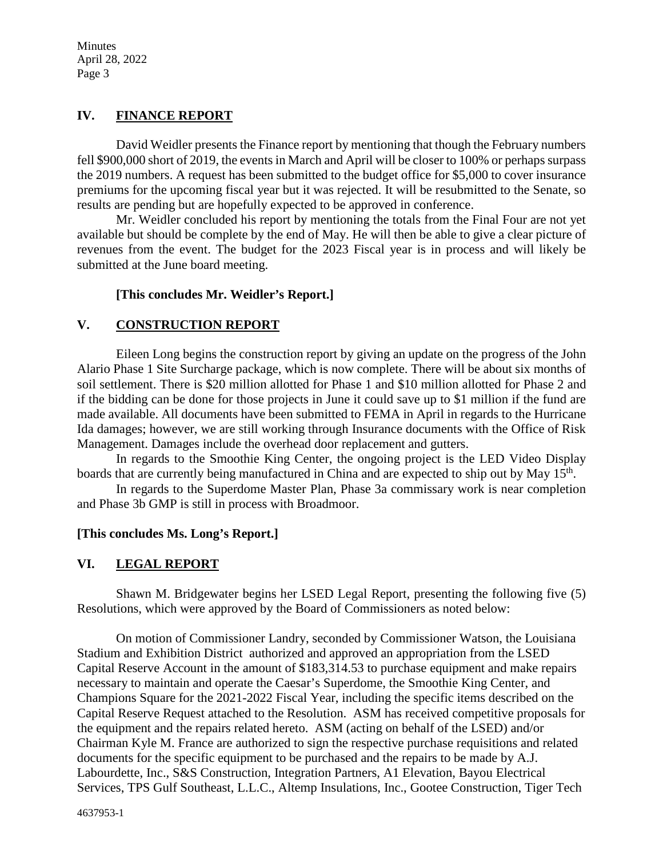# **IV. FINANCE REPORT**

David Weidler presents the Finance report by mentioning that though the February numbers fell \$900,000 short of 2019, the events in March and April will be closer to 100% or perhaps surpass the 2019 numbers. A request has been submitted to the budget office for \$5,000 to cover insurance premiums for the upcoming fiscal year but it was rejected. It will be resubmitted to the Senate, so results are pending but are hopefully expected to be approved in conference.

Mr. Weidler concluded his report by mentioning the totals from the Final Four are not yet available but should be complete by the end of May. He will then be able to give a clear picture of revenues from the event. The budget for the 2023 Fiscal year is in process and will likely be submitted at the June board meeting.

### **[This concludes Mr. Weidler's Report.]**

## **V. CONSTRUCTION REPORT**

Eileen Long begins the construction report by giving an update on the progress of the John Alario Phase 1 Site Surcharge package, which is now complete. There will be about six months of soil settlement. There is \$20 million allotted for Phase 1 and \$10 million allotted for Phase 2 and if the bidding can be done for those projects in June it could save up to \$1 million if the fund are made available. All documents have been submitted to FEMA in April in regards to the Hurricane Ida damages; however, we are still working through Insurance documents with the Office of Risk Management. Damages include the overhead door replacement and gutters.

In regards to the Smoothie King Center, the ongoing project is the LED Video Display boards that are currently being manufactured in China and are expected to ship out by May 15<sup>th</sup>.

In regards to the Superdome Master Plan, Phase 3a commissary work is near completion and Phase 3b GMP is still in process with Broadmoor.

### **[This concludes Ms. Long's Report.]**

# **VI. LEGAL REPORT**

Shawn M. Bridgewater begins her LSED Legal Report, presenting the following five (5) Resolutions, which were approved by the Board of Commissioners as noted below:

On motion of Commissioner Landry, seconded by Commissioner Watson, the Louisiana Stadium and Exhibition District authorized and approved an appropriation from the LSED Capital Reserve Account in the amount of \$183,314.53 to purchase equipment and make repairs necessary to maintain and operate the Caesar's Superdome, the Smoothie King Center, and Champions Square for the 2021-2022 Fiscal Year, including the specific items described on the Capital Reserve Request attached to the Resolution. ASM has received competitive proposals for the equipment and the repairs related hereto. ASM (acting on behalf of the LSED) and/or Chairman Kyle M. France are authorized to sign the respective purchase requisitions and related documents for the specific equipment to be purchased and the repairs to be made by A.J. Labourdette, Inc., S&S Construction, Integration Partners, A1 Elevation, Bayou Electrical Services, TPS Gulf Southeast, L.L.C., Altemp Insulations, Inc., Gootee Construction, Tiger Tech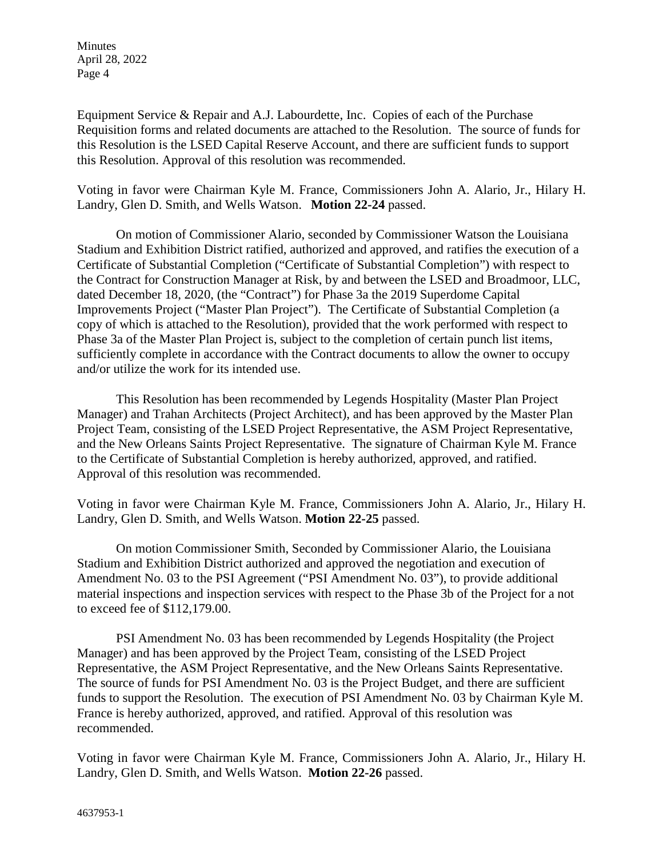Equipment Service & Repair and A.J. Labourdette, Inc. Copies of each of the Purchase Requisition forms and related documents are attached to the Resolution. The source of funds for this Resolution is the LSED Capital Reserve Account, and there are sufficient funds to support this Resolution. Approval of this resolution was recommended.

Voting in favor were Chairman Kyle M. France, Commissioners John A. Alario, Jr., Hilary H. Landry, Glen D. Smith, and Wells Watson. **Motion 22-24** passed.

On motion of Commissioner Alario, seconded by Commissioner Watson the Louisiana Stadium and Exhibition District ratified, authorized and approved, and ratifies the execution of a Certificate of Substantial Completion ("Certificate of Substantial Completion") with respect to the Contract for Construction Manager at Risk, by and between the LSED and Broadmoor, LLC, dated December 18, 2020, (the "Contract") for Phase 3a the 2019 Superdome Capital Improvements Project ("Master Plan Project"). The Certificate of Substantial Completion (a copy of which is attached to the Resolution), provided that the work performed with respect to Phase 3a of the Master Plan Project is, subject to the completion of certain punch list items, sufficiently complete in accordance with the Contract documents to allow the owner to occupy and/or utilize the work for its intended use.

This Resolution has been recommended by Legends Hospitality (Master Plan Project Manager) and Trahan Architects (Project Architect), and has been approved by the Master Plan Project Team, consisting of the LSED Project Representative, the ASM Project Representative, and the New Orleans Saints Project Representative. The signature of Chairman Kyle M. France to the Certificate of Substantial Completion is hereby authorized, approved, and ratified. Approval of this resolution was recommended.

Voting in favor were Chairman Kyle M. France, Commissioners John A. Alario, Jr., Hilary H. Landry, Glen D. Smith, and Wells Watson. **Motion 22-25** passed.

On motion Commissioner Smith, Seconded by Commissioner Alario, the Louisiana Stadium and Exhibition District authorized and approved the negotiation and execution of Amendment No. 03 to the PSI Agreement ("PSI Amendment No. 03"), to provide additional material inspections and inspection services with respect to the Phase 3b of the Project for a not to exceed fee of \$112,179.00.

PSI Amendment No. 03 has been recommended by Legends Hospitality (the Project Manager) and has been approved by the Project Team, consisting of the LSED Project Representative, the ASM Project Representative, and the New Orleans Saints Representative. The source of funds for PSI Amendment No. 03 is the Project Budget, and there are sufficient funds to support the Resolution. The execution of PSI Amendment No. 03 by Chairman Kyle M. France is hereby authorized, approved, and ratified. Approval of this resolution was recommended.

Voting in favor were Chairman Kyle M. France, Commissioners John A. Alario, Jr., Hilary H. Landry, Glen D. Smith, and Wells Watson. **Motion 22-26** passed.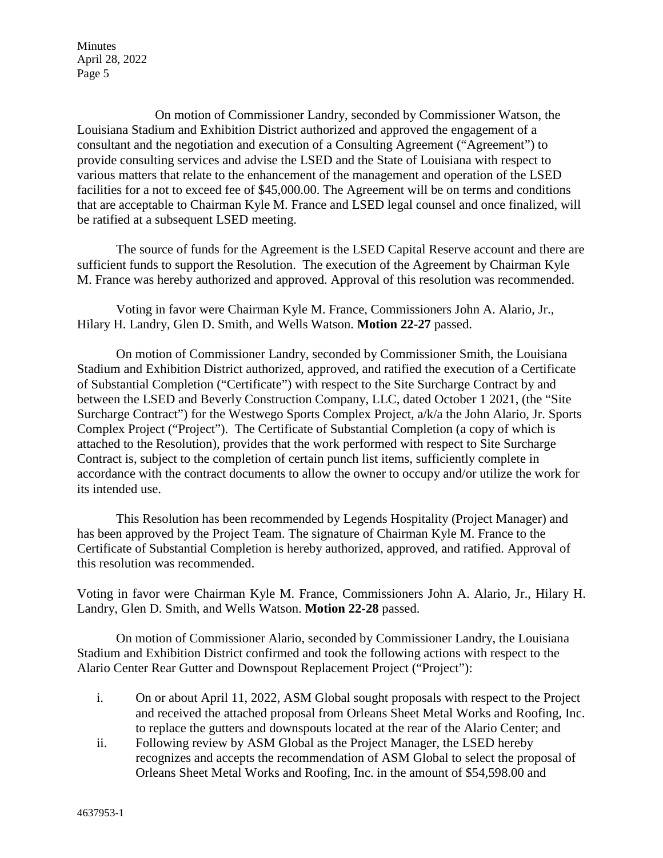On motion of Commissioner Landry, seconded by Commissioner Watson, the Louisiana Stadium and Exhibition District authorized and approved the engagement of a consultant and the negotiation and execution of a Consulting Agreement ("Agreement") to provide consulting services and advise the LSED and the State of Louisiana with respect to various matters that relate to the enhancement of the management and operation of the LSED facilities for a not to exceed fee of \$45,000.00. The Agreement will be on terms and conditions that are acceptable to Chairman Kyle M. France and LSED legal counsel and once finalized, will be ratified at a subsequent LSED meeting.

The source of funds for the Agreement is the LSED Capital Reserve account and there are sufficient funds to support the Resolution. The execution of the Agreement by Chairman Kyle M. France was hereby authorized and approved. Approval of this resolution was recommended.

Voting in favor were Chairman Kyle M. France, Commissioners John A. Alario, Jr., Hilary H. Landry, Glen D. Smith, and Wells Watson. **Motion 22-27** passed.

On motion of Commissioner Landry, seconded by Commissioner Smith, the Louisiana Stadium and Exhibition District authorized, approved, and ratified the execution of a Certificate of Substantial Completion ("Certificate") with respect to the Site Surcharge Contract by and between the LSED and Beverly Construction Company, LLC, dated October 1 2021, (the "Site Surcharge Contract") for the Westwego Sports Complex Project, a/k/a the John Alario, Jr. Sports Complex Project ("Project"). The Certificate of Substantial Completion (a copy of which is attached to the Resolution), provides that the work performed with respect to Site Surcharge Contract is, subject to the completion of certain punch list items, sufficiently complete in accordance with the contract documents to allow the owner to occupy and/or utilize the work for its intended use.

This Resolution has been recommended by Legends Hospitality (Project Manager) and has been approved by the Project Team. The signature of Chairman Kyle M. France to the Certificate of Substantial Completion is hereby authorized, approved, and ratified. Approval of this resolution was recommended.

Voting in favor were Chairman Kyle M. France, Commissioners John A. Alario, Jr., Hilary H. Landry, Glen D. Smith, and Wells Watson. **Motion 22-28** passed.

On motion of Commissioner Alario, seconded by Commissioner Landry, the Louisiana Stadium and Exhibition District confirmed and took the following actions with respect to the Alario Center Rear Gutter and Downspout Replacement Project ("Project"):

- i. On or about April 11, 2022, ASM Global sought proposals with respect to the Project and received the attached proposal from Orleans Sheet Metal Works and Roofing, Inc. to replace the gutters and downspouts located at the rear of the Alario Center; and
- ii. Following review by ASM Global as the Project Manager, the LSED hereby recognizes and accepts the recommendation of ASM Global to select the proposal of Orleans Sheet Metal Works and Roofing, Inc. in the amount of \$54,598.00 and